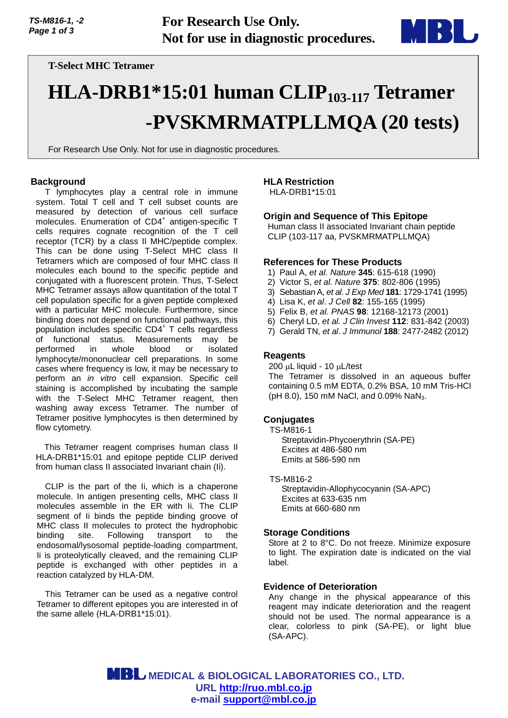

# **T-Select MHC Tetramer**

# **HLA-DRB1\*15:01 human CLIP103-117 Tetramer -PVSKMRMATPLLMQA (20 tests)**

For Research Use Only. Not for use in diagnostic procedures.

## **Background**

T lymphocytes play a central role in immune system. Total T cell and T cell subset counts are measured by detection of various cell surface molecules. Enumeration of CD4<sup>+</sup> antigen-specific T cells requires cognate recognition of the T cell receptor (TCR) by a class II MHC/peptide complex. This can be done using T-Select MHC class II Tetramers which are composed of four MHC class II molecules each bound to the specific peptide and conjugated with a fluorescent protein. Thus, T-Select MHC Tetramer assays allow quantitation of the total T cell population specific for a given peptide complexed with a particular MHC molecule. Furthermore, since binding does not depend on functional pathways, this population includes specific CD4<sup>+</sup> T cells regardless of functional status. Measurements may be performed in whole blood or isolated lymphocyte/mononuclear cell preparations. In some cases where frequency is low, it may be necessary to perform an *in vitro* cell expansion. Specific cell staining is accomplished by incubating the sample with the T-Select MHC Tetramer reagent, then washing away excess Tetramer. The number of Tetramer positive lymphocytes is then determined by flow cytometry.

This Tetramer reagent comprises human class II HLA-DRB1\*15:01 and epitope peptide CLIP derived from human class II associated Invariant chain (Ii).

CLIP is the part of the Ii, which is a chaperone molecule. In antigen presenting cells, MHC class II molecules assemble in the ER with Ii. The CLIP segment of Ii binds the peptide binding groove of MHC class II molecules to protect the hydrophobic binding site. Following transport to the endosomal/lysosomal peptide-loading compartment, Ii is proteolytically cleaved, and the remaining CLIP peptide is exchanged with other peptides in a reaction catalyzed by HLA-DM.

This Tetramer can be used as a negative control Tetramer to different epitopes you are interested in of the same allele (HLA-DRB1\*15:01).

# **HLA Restriction**

HLA-DRB1\*15:01

# **Origin and Sequence of This Epitope**

Human class II associated Invariant chain peptide CLIP (103-117 aa, PVSKMRMATPLLMQA)

#### **References for These Products**

- 1) Paul A, *et al. Nature* **345**: 615-618 (1990)
- 2) Victor S, *et al. Nature* **375**: 802-806 (1995)
- 3) Sebastian A, *et al*. *J Exp Med* **181**: 1729-1741 (1995)
- 4) Lisa K, *et al*. *J Cell* **82**: 155-165 (1995)
- 5) Felix B, *et al. PNAS* **98**: 12168-12173 (2001)
- 6) Cheryl LD, *et al. J Clin Invest* **112**: 831-842 (2003)
- 7) Gerald TN, *et al*. *J Immunol* **188**: 2477-2482 (2012)

## **Reagents**

 $200 \mu L$  liquid - 10  $\mu L$ /test The Tetramer is dissolved in an aqueous buffer containing 0.5 mM EDTA, 0.2% BSA, 10 mM Tris-HCl (pH 8.0), 150 mM NaCl, and 0.09% NaN<sub>3</sub>.

#### **Conjugates**

TS-M816-1 Streptavidin-Phycoerythrin (SA-PE) Excites at 486-580 nm Emits at 586-590 nm

TS-M816-2 Streptavidin-Allophycocyanin (SA-APC) Excites at 633-635 nm Emits at 660-680 nm

#### **Storage Conditions**

Store at 2 to 8°C. Do not freeze. Minimize exposure to light. The expiration date is indicated on the vial label.

#### **Evidence of Deterioration**

Any change in the physical appearance of this reagent may indicate deterioration and the reagent should not be used. The normal appearance is a clear, colorless to pink (SA-PE), or light blue (SA-APC).

 **MEDICAL & BIOLOGICAL LABORATORIES CO., LTD. URL [http://ruo.mbl.co.jp](https://ruo.mbl.co.jp/) e-mail [support@mbl.co.jp](mailto:support@mbl.co.jp)**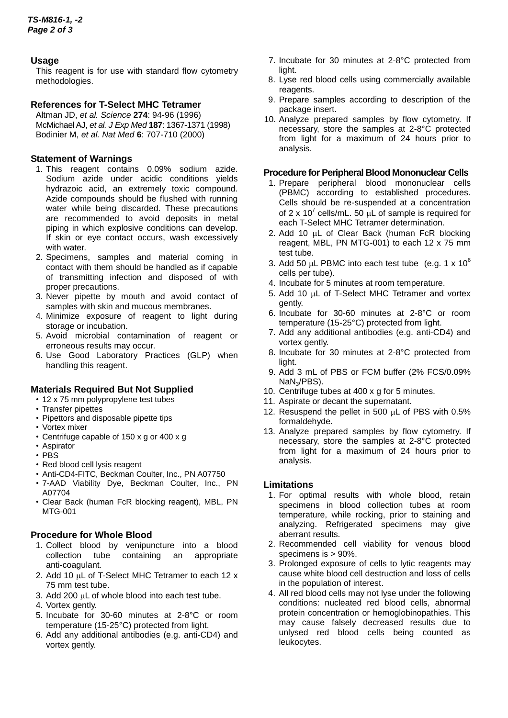## **Usage**

This reagent is for use with standard flow cytometry methodologies.

## **References for T-Select MHC Tetramer**

Altman JD, *et al. Science* **274**: 94-96 (1996) McMichael AJ, *et al. J Exp Med* **187**: 1367-1371 (1998) Bodinier M, *et al. Nat Med* **6**: 707-710 (2000)

## **Statement of Warnings**

- 1. This reagent contains 0.09% sodium azide. Sodium azide under acidic conditions yields hydrazoic acid, an extremely toxic compound. Azide compounds should be flushed with running water while being discarded. These precautions are recommended to avoid deposits in metal piping in which explosive conditions can develop. If skin or eye contact occurs, wash excessively with water.
- 2. Specimens, samples and material coming in contact with them should be handled as if capable of transmitting infection and disposed of with proper precautions.
- 3. Never pipette by mouth and avoid contact of samples with skin and mucous membranes.
- 4. Minimize exposure of reagent to light during storage or incubation.
- 5. Avoid microbial contamination of reagent or erroneous results may occur.
- 6. Use Good Laboratory Practices (GLP) when handling this reagent.

# **Materials Required But Not Supplied**

- 12 x 75 mm polypropylene test tubes
- Transfer pipettes
- Pipettors and disposable pipette tips
- Vortex mixer
- Centrifuge capable of 150 x g or 400 x g
- Aspirator
- PBS
- Red blood cell lysis reagent
- Anti-CD4-FITC, Beckman Coulter, Inc., PN A07750
- 7-AAD Viability Dye, Beckman Coulter, Inc., PN A07704
- Clear Back (human FcR blocking reagent), MBL, PN MTG-001

# **Procedure for Whole Blood**

- 1. Collect blood by venipuncture into a blood collection tube containing an appropriate anti-coagulant.
- 2. Add 10  $\mu$ L of T-Select MHC Tetramer to each 12 x 75 mm test tube.
- 3. Add 200 µL of whole blood into each test tube.
- 4. Vortex gently.
- 5. Incubate for 30-60 minutes at 2-8°C or room temperature (15-25°C) protected from light.
- 6. Add any additional antibodies (e.g. anti-CD4) and vortex gently.
- 7. Incubate for 30 minutes at 2-8°C protected from light.
- 8. Lyse red blood cells using commercially available reagents.
- 9. Prepare samples according to description of the package insert.
- 10. Analyze prepared samples by flow cytometry. If necessary, store the samples at 2-8°C protected from light for a maximum of 24 hours prior to analysis.

## **Procedure for Peripheral Blood Mononuclear Cells**

- 1. Prepare peripheral blood mononuclear cells (PBMC) according to established procedures. Cells should be re-suspended at a concentration of 2 x 10<sup>7</sup> cells/mL. 50  $\mu$ L of sample is required for each T-Select MHC Tetramer determination.
- 2. Add 10  $\mu$ L of Clear Back (human FcR blocking reagent, MBL, PN MTG-001) to each 12 x 75 mm test tube.
- 3. Add 50  $\mu$ L PBMC into each test tube (e.g. 1 x 10<sup>6</sup>) cells per tube).
- 4. Incubate for 5 minutes at room temperature.
- 5. Add 10  $\mu$ L of T-Select MHC Tetramer and vortex gently.
- 6. Incubate for 30-60 minutes at 2-8°C or room temperature (15-25°C) protected from light.
- 7. Add any additional antibodies (e.g. anti-CD4) and vortex gently.
- 8. Incubate for 30 minutes at 2-8°C protected from light.
- 9. Add 3 mL of PBS or FCM buffer (2% FCS/0.09% NaN3/PBS).
- 10. Centrifuge tubes at 400 x g for 5 minutes.
- 11. Aspirate or decant the supernatant.
- 12. Resuspend the pellet in 500  $\mu$ L of PBS with 0.5% formaldehyde.
- 13. Analyze prepared samples by flow cytometry. If necessary, store the samples at 2-8°C protected from light for a maximum of 24 hours prior to analysis.

# **Limitations**

- 1. For optimal results with whole blood, retain specimens in blood collection tubes at room temperature, while rocking, prior to staining and analyzing. Refrigerated specimens may give aberrant results.
- 2. Recommended cell viability for venous blood specimens is > 90%.
- 3. Prolonged exposure of cells to lytic reagents may cause white blood cell destruction and loss of cells in the population of interest.
- 4. All red blood cells may not lyse under the following conditions: nucleated red blood cells, abnormal protein concentration or hemoglobinopathies. This may cause falsely decreased results due to unlysed red blood cells being counted as leukocytes.